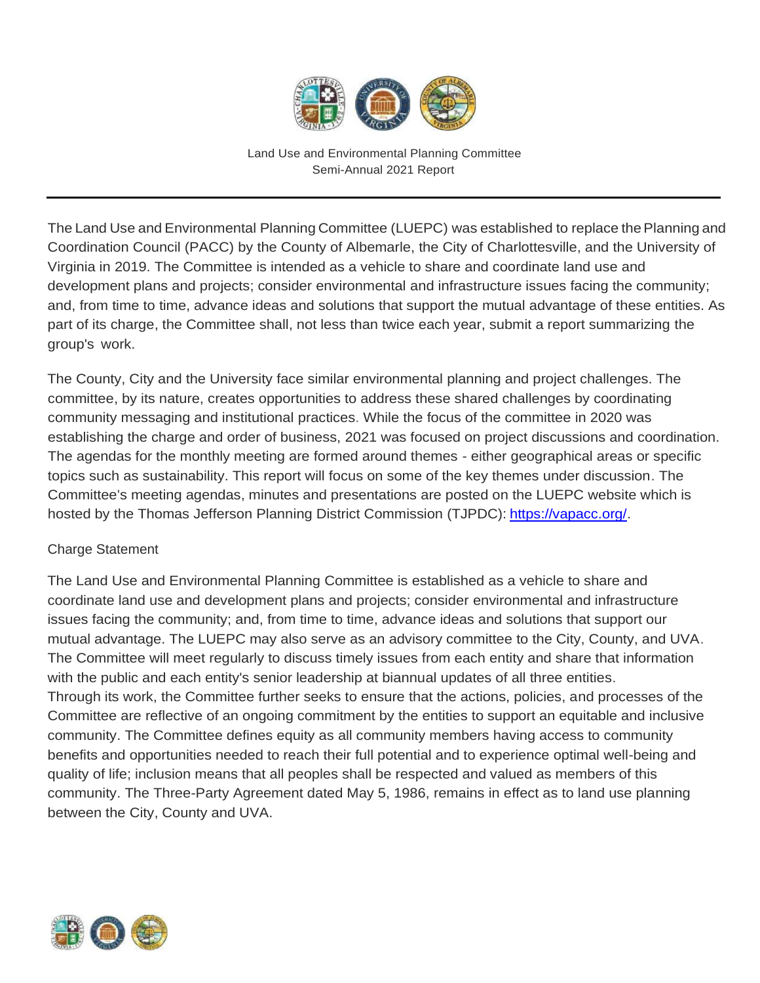

The Land Use and Environmental Planning Committee (LUEPC) was established to replace the Planning and Coordination Council (PACC) by the County of Albemarle, the City of Charlottesville, and the University of Virginia in 2019. The Committee is intended as a vehicle to share and coordinate land use and development plans and projects; consider environmental and infrastructure issues facing the community; and, from time to time, advance ideas and solutions that support the mutual advantage of these entities. As part of its charge, the Committee shall, not less than twice each year, submit a report summarizing the group's work.

The County, City and the University face similar environmental planning and project challenges. The committee, by its nature, creates opportunities to address these shared challenges by coordinating community messaging and institutional practices. While the focus of the committee in 2020 was establishing the charge and order of business, 2021 was focused on project discussions and coordination. The agendas for the monthly meeting are formed around themes - either geographical areas or specific topics such as sustainability. This report will focus on some of the key themes under discussion. The Committee's meeting agendas, minutes and presentations are posted on the LUEPC website which is hosted by the Thomas Jefferson Planning District Commission (TJPDC): [https://vapacc.org/.](https://vapacc.org/)

## Charge Statement

The Land Use and Environmental Planning Committee is established as a vehicle to share and coordinate land use and development plans and projects; consider environmental and infrastructure issues facing the community; and, from time to time, advance ideas and solutions that support our mutual advantage. The LUEPC may also serve as an advisory committee to the City, County, and UVA. The Committee will meet regularly to discuss timely issues from each entity and share that information with the public and each entity's senior leadership at biannual updates of all three entities. Through its work, the Committee further seeks to ensure that the actions, policies, and processes of the Committee are reflective of an ongoing commitment by the entities to support an equitable and inclusive community. The Committee defines equity as all community members having access to community benefits and opportunities needed to reach their full potential and to experience optimal well-being and quality of life; inclusion means that all peoples shall be respected and valued as members of this community. The Three-Party Agreement dated May 5, 1986, remains in effect as to land use planning between the City, County and UVA.

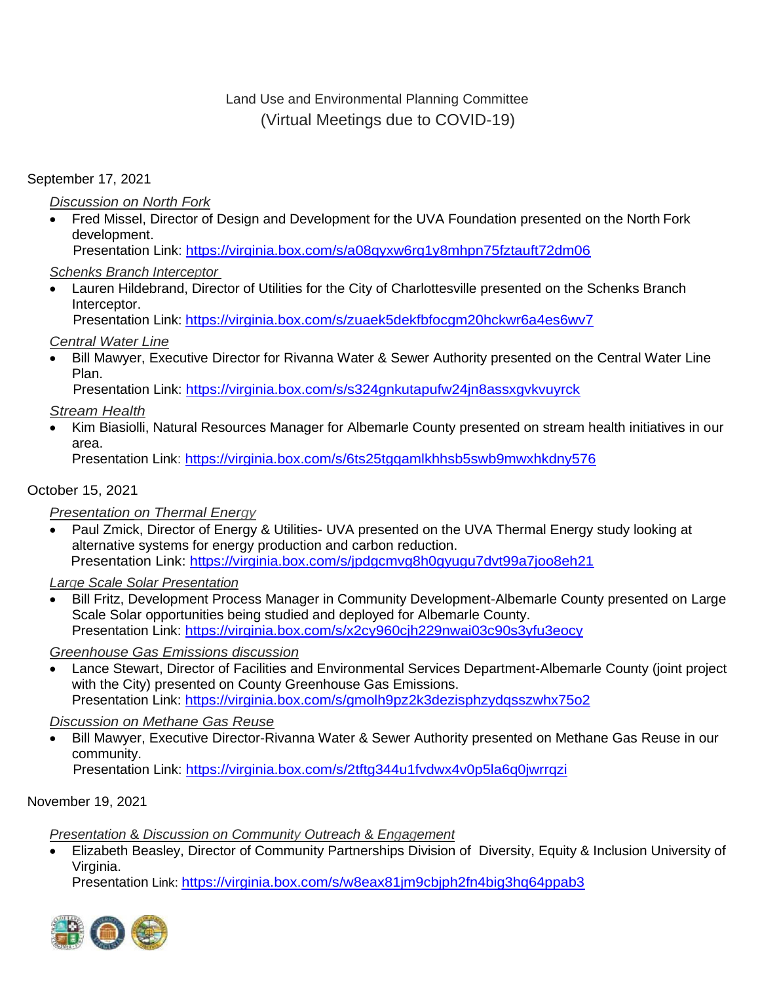# Land Use and Environmental Planning Committee (Virtual Meetings due to COVID-19)

## September 17, 2021

*Discussion on North Fork*

 Fred Missel, Director of Design and Development for the UVA Foundation presented on the North Fork development.

Presentation Link: <https://virginia.box.com/s/a08qyxw6rg1y8mhpn75fztauft72dm06>

# *Schenks Branch Interceptor*

 Lauren Hildebrand, Director of Utilities for the City of Charlottesville presented on the Schenks Branch Interceptor.

Presentation Link: <https://virginia.box.com/s/zuaek5dekfbfocgm20hckwr6a4es6wv7>

# *Central Water Line*

 Bill Mawyer, Executive Director for Rivanna Water & Sewer Authority presented on the Central Water Line Plan.

Presentation Link:<https://virginia.box.com/s/s324gnkutapufw24jn8assxgvkvuyrck>

*Stream Health*

 Kim Biasiolli, Natural Resources Manager for Albemarle County presented on stream health initiatives in our area.

Presentation Link:<https://virginia.box.com/s/6ts25tgqamlkhhsb5swb9mwxhkdny576>

# October 15, 2021

*Presentation on Thermal Energy*

 Paul Zmick, Director of Energy & Utilities- UVA presented on the UVA Thermal Energy study looking at alternative systems for energy production and carbon reduction. Presentation Link:<https://virginia.box.com/s/jpdgcmvg8h0gyugu7dvt99a7joo8eh21>

*Large Scale Solar Presentation*

 Bill Fritz, Development Process Manager in Community Development-Albemarle County presented on Large Scale Solar opportunities being studied and deployed for Albemarle County. Presentation Link:<https://virginia.box.com/s/x2cy960cjh229nwai03c90s3yfu3eocy>

*Greenhouse Gas Emissions discussion*

 Lance Stewart, Director of Facilities and Environmental Services Department-Albemarle County (joint project with the City) presented on County Greenhouse Gas Emissions. Presentation Link:<https://virginia.box.com/s/gmolh9pz2k3dezisphzydqsszwhx75o2>

*Discussion on Methane Gas Reuse*

 Bill Mawyer, Executive Director-Rivanna Water & Sewer Authority presented on Methane Gas Reuse in our community.

Presentation Link:<https://virginia.box.com/s/2tftg344u1fvdwx4v0p5la6q0jwrrqzi>

November 19, 2021

# *Presentation* & *Discussion on Community Outreach* & *Engagement*

 Elizabeth Beasley, Director of Community Partnerships Division of Diversity, Equity & Inclusion University of Virginia.

Presentation Link: <https://virginia.box.com/s/w8eax81jm9cbjph2fn4big3hq64ppab3>